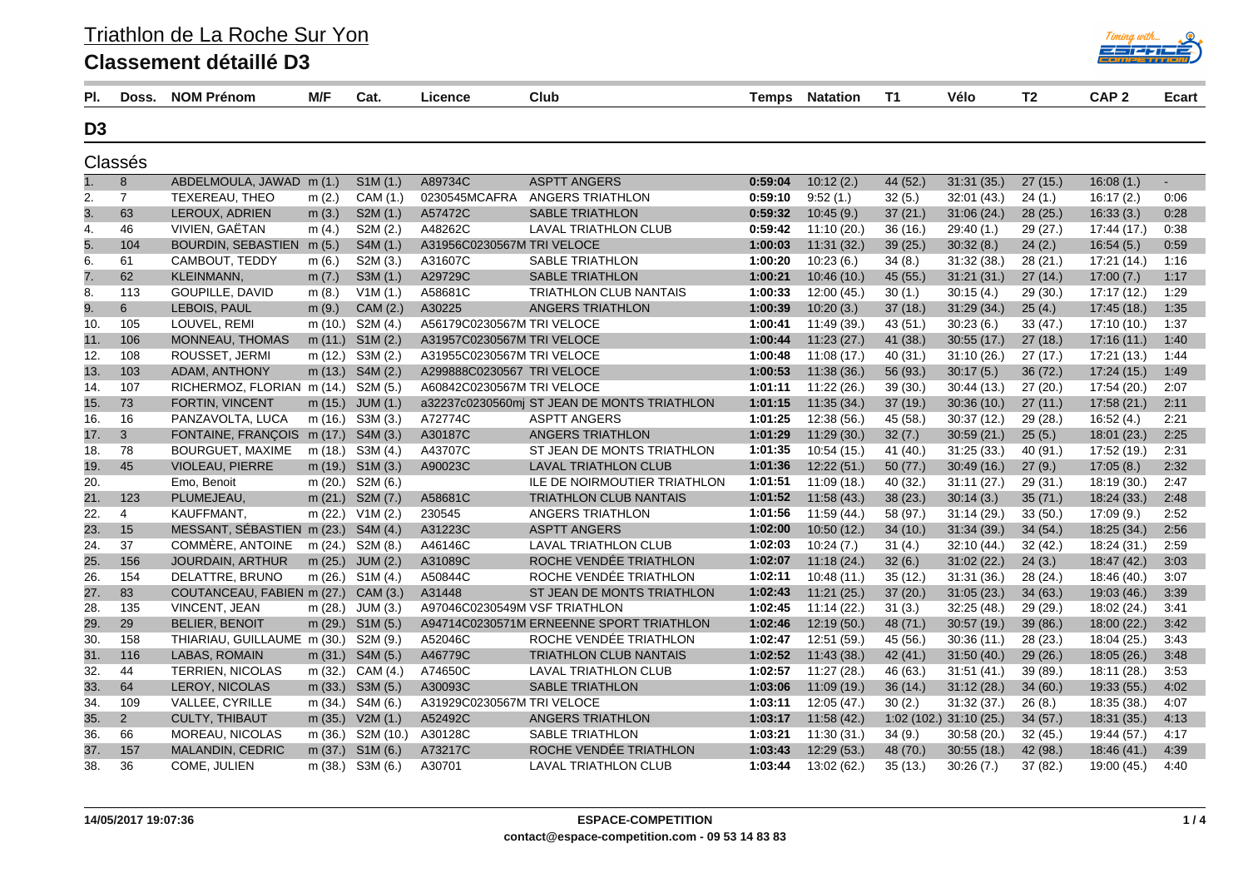|--|

## **Classement détaillé D3**

| PI.            | Doss.          | <b>NOM Prénom</b>                    | M/F      | Cat.                 | Licence                       | Club                                        | Temps   | <b>Natation</b> | T1       | Vélo                     | T2       | CAP <sub>2</sub> | <b>Ecart</b>   |
|----------------|----------------|--------------------------------------|----------|----------------------|-------------------------------|---------------------------------------------|---------|-----------------|----------|--------------------------|----------|------------------|----------------|
| D <sub>3</sub> |                |                                      |          |                      |                               |                                             |         |                 |          |                          |          |                  |                |
|                | Classés        |                                      |          |                      |                               |                                             |         |                 |          |                          |          |                  |                |
| 1.             | 8              | ABDELMOULA, JAWAD                    | m(1.)    | SIM(1.)              | A89734C                       | <b>ASPTT ANGERS</b>                         | 0:59:04 | 10:12(2.)       | 44 (52.) | 31:31 (35.)              | 27(15.)  | 16:08(1)         | $\blacksquare$ |
| 2.             | $\overline{7}$ | <b>TEXEREAU, THEO</b>                | m(2.)    | CAM (1.)             | 0230545MCAFRA                 | ANGERS TRIATHLON                            | 0:59:10 | 9:52(1)         | 32(5.)   | 32:01(43)                | 24(1)    | 16:17(2)         | 0:06           |
| 3.             | 63             | LEROUX, ADRIEN                       | m(3.)    | S2M(1.)              | A57472C                       | <b>SABLE TRIATHLON</b>                      | 0:59:32 | 10:45(9.)       | 37(21)   | 31:06(24)                | 28(25.)  | 16:33(3)         | 0:28           |
| 4.             | 46             | VIVIEN, GAËTAN                       | m $(4.)$ | S2M (2.)             | A48262C                       | LAVAL TRIATHLON CLUB                        | 0:59:42 | 11:10(20.)      | 36(16.)  | 29:40 (1.)               | 29 (27.) | 17:44 (17.)      | 0:38           |
| 5.             | 104            | BOURDIN, SEBASTIEN m (5.)            |          | S4M (1.)             | A31956C0230567M TRI VELOCE    |                                             | 1:00:03 | 11:31(32)       | 39(25.)  | 30:32(8.)                | 24(2.)   | 16:54(5.)        | 0:59           |
| 6.             | 61             | CAMBOUT, TEDDY                       | m(6.)    | S2M (3.)             | A31607C                       | <b>SABLE TRIATHLON</b>                      | 1:00:20 | 10:23(6.)       | 34(8.)   | 31:32(38.)               | 28(21)   | 17:21 (14.)      | 1:16           |
| $\tau$         | 62             | KLEINMANN,                           | m $(7.)$ | S3M(1.)              | A29729C                       | <b>SABLE TRIATHLON</b>                      | 1:00:21 | 10:46(10.)      | 45(55)   | 31:21(31)                | 27(14)   | 17:00(7.)        | 1:17           |
| 8.             | 113            | GOUPILLE, DAVID                      | m(8.)    | V1M(1.)              | A58681C                       | <b>TRIATHLON CLUB NANTAIS</b>               | 1:00:33 | 12:00(45.)      | 30(1.)   | 30:15(4)                 | 29 (30.) | 17:17 (12.)      | 1:29           |
| 9.             | 6              | LEBOIS, PAUL                         | m(9.)    | CAM (2.)             | A30225                        | ANGERS TRIATHLON                            | 1:00:39 | 10:20(3.)       | 37(18.)  | 31:29(34)                | 25(4.)   | 17:45(18.)       | 1:35           |
| 10.            | 105            | LOUVEL, REMI                         | m (10.)  | S2M (4.)             | A56179C0230567M TRI VELOCE    |                                             | 1:00:41 | 11:49 (39.)     | 43(51)   | 30:23(6.)                | 33 (47.) | 17:10 (10.)      | 1:37           |
| 11.            | 106            | <b>MONNEAU, THOMAS</b>               |          | m (11.) S1M (2.)     | A31957C0230567M TRI VELOCE    |                                             | 1:00:44 | 11:23(27.)      | 41 (38.) | 30:55(17.)               | 27(18.)  | 17:16(11)        | 1:40           |
| 12.            | 108            | ROUSSET, JERMI                       |          | m (12.) S3M (2.)     | A31955C0230567M TRI VELOCE    |                                             | 1:00:48 | 11:08(17.)      | 40(31.)  | 31:10(26.)               | 27(17.)  | 17:21 (13.)      | 1:44           |
| 13.            | 103            | ADAM, ANTHONY                        |          | m (13.) S4M (2.)     | A299888C0230567 TRI VELOCE    |                                             | 1:00:53 | 11:38(36)       | 56 (93.) | 30:17(5)                 | 36 (72.) | 17:24 (15.)      | 1:49           |
| 14.            | 107            | RICHERMOZ, FLORIAN m (14.) S2M (5.)  |          |                      | A60842C0230567M TRI VELOCE    |                                             | 1:01:11 | 11:22(26.)      | 39(30.)  | 30:44(13)                | 27(20.)  | 17:54 (20.)      | 2:07           |
| 15.            | 73             | <b>FORTIN, VINCENT</b>               |          | m (15.) JUM (1.)     |                               | a32237c0230560mj ST JEAN DE MONTS TRIATHLON | 1:01:15 | 11:35(34)       | 37(19)   | 30:36(10.)               | 27(11)   | 17:58(21)        | 2:11           |
| 16.            | 16             | PANZAVOLTA, LUCA                     |          | m (16.) S3M (3.)     | A72774C                       | <b>ASPTT ANGERS</b>                         | 1:01:25 | 12:38 (56.)     | 45 (58.) | 30:37(12)                | 29 (28.) | 16:52(4.)        | 2:21           |
| 17.            | 3              | FONTAINE, FRANÇOIS m (17.) S4M (3.)  |          |                      | A30187C                       | ANGERS TRIATHLON                            | 1:01:29 | 11:29(30.)      | 32(7.)   | 30:59(21)                | 25(5.)   | 18:01 (23.)      | 2:25           |
| 18.            | 78             | <b>BOURGUET, MAXIME</b>              |          | m (18.) S3M (4.)     | A43707C                       | ST JEAN DE MONTS TRIATHLON                  | 1:01:35 | 10:54(15.)      | 41(40)   | 31:25(33)                | 40(91.)  | 17:52 (19.)      | 2:31           |
| 19.            | 45             | VIOLEAU, PIERRE                      |          | m (19.) S1M (3.)     | A90023C                       | <b>LAVAL TRIATHLON CLUB</b>                 | 1:01:36 | 12:22(51.)      | 50(77.)  | 30:49(16.)               | 27(9.)   | 17:05(8.)        | 2:32           |
| 20.            |                | Emo, Benoit                          |          | m (20.) S2M (6.)     |                               | ILE DE NOIRMOUTIER TRIATHLON                | 1:01:51 | 11:09 (18.)     | 40(32.)  | 31:11(27.)               | 29(31)   | 18:19 (30.)      | 2:47           |
| 21.            | 123            | PLUMEJEAU,                           |          | m (21.) S2M (7.)     | A58681C                       | <b>TRIATHLON CLUB NANTAIS</b>               | 1:01:52 | 11:58(43)       | 38(23.)  | 30:14(3)                 | 35(71)   | 18:24 (33.)      | 2:48           |
| 22.            | 4              | KAUFFMANT,                           |          | m (22.) V1M (2.)     | 230545                        | ANGERS TRIATHLON                            | 1:01:56 | 11:59 (44.)     | 58 (97.) | 31:14(29.)               | 33(50.)  | 17.09(9.)        | 2:52           |
| 23.            | 15             | MESSANT, SÉBASTIEN m (23.) S4M (4.)  |          |                      | A31223C                       | <b>ASPTT ANGERS</b>                         | 1:02:00 | 10:50(12.)      | 34(10.)  | 31:34(39)                | 34(54)   | 18:25 (34.)      | 2:56           |
| 24.            | 37             | COMMÈRE, ANTOINE                     |          | m (24.) S2M (8.)     | A46146C                       | <b>LAVAL TRIATHLON CLUB</b>                 | 1:02:03 | 10:24(7.)       | 31(4.)   | 32:10 (44.)              | 32 (42.) | 18:24 (31.)      | 2:59           |
| 25.            | 156            | <b>JOURDAIN, ARTHUR</b>              |          | m (25.) JUM (2.)     | A31089C                       | ROCHE VENDÉE TRIATHLON                      | 1:02:07 | 11:18(24)       | 32(6.)   | 31:02(22)                | 24(3.)   | 18:47 (42.)      | 3:03           |
| 26.            | 154            | DELATTRE, BRUNO                      |          | m (26.) S1M (4.)     | A50844C                       | ROCHE VENDÉE TRIATHLON                      | 1:02:11 | 10.48(11)       | 35(12.)  | 31:31(36.)               | 28(24.)  | 18:46 (40.)      | 3:07           |
| 27.            | 83             | COUTANCEAU, FABIEN m (27.) CAM (3.)  |          |                      | A31448                        | ST JEAN DE MONTS TRIATHLON                  | 1:02:43 | 11:21(25.)      | 37(20.)  | 31:05(23)                | 34(63)   | 19:03 (46.)      | 3:39           |
| 28.            | 135            | <b>VINCENT, JEAN</b>                 |          | m (28.) JUM (3.)     | A97046C0230549M VSF TRIATHLON |                                             | 1:02:45 | 11:14(22)       | 31(3.)   | 32:25(48.)               | 29(29)   | 18:02 (24.)      | 3:41           |
| 29.            | 29             | <b>BELIER, BENOIT</b>                |          | m (29.) S1M (5.)     |                               | A94714C0230571M ERNEENNE SPORT TRIATHLON    | 1:02:46 | 12:19(50.)      | 48 (71.) | 30:57(19)                | 39(86)   | 18:00(22.)       | 3:42           |
| 30.            | 158            | THIARIAU, GUILLAUME m (30.) S2M (9.) |          |                      | A52046C                       | ROCHE VENDÉE TRIATHLON                      | 1:02:47 | 12:51 (59.)     | 45 (56.) | 30:36(11)                | 28 (23.) | 18:04 (25.)      | 3:43           |
| 31.            | 116            | LABAS, ROMAIN                        |          | m $(31.)$ S4M $(5.)$ | A46779C                       | <b>TRIATHLON CLUB NANTAIS</b>               | 1:02:52 | 11:43(38.)      | 42(41)   | 31:50(40.)               | 29(26.)  | 18:05(26.)       | 3:48           |
| 32.            | 44             | <b>TERRIEN, NICOLAS</b>              |          | m (32.) CAM (4.)     | A74650C                       | <b>LAVAL TRIATHLON CLUB</b>                 | 1:02:57 | 11:27(28)       | 46 (63.) | 31:51(41)                | 39(89.)  | 18:11 (28.)      | 3:53           |
| 33.            | 64             | <b>LEROY, NICOLAS</b>                |          | m (33.) S3M (5.)     | A30093C                       | <b>SABLE TRIATHLON</b>                      | 1:03:06 | 11:09(19.)      | 36(14.)  | 31:12(28.)               | 34(60.)  | 19:33 (55.)      | 4:02           |
| 34.            | 109            | VALLEE, CYRILLE                      |          | m (34.) S4M (6.)     | A31929C0230567M TRI VELOCE    |                                             | 1:03:11 | 12:05 (47.)     | 30(2.)   | 31:32(37)                | 26(8.)   | 18:35 (38.)      | 4:07           |
| 35.            | 2              | CULTY, THIBAUT                       |          | m (35.) V2M (1.)     | A52492C                       | ANGERS TRIATHLON                            | 1:03:17 | 11:58(42.)      |          | $1:02(102.)$ 31:10 (25.) | 34(57)   | 18:31 (35.)      | 4:13           |
| 36.            | 66             | <b>MOREAU, NICOLAS</b>               |          | m (36.) S2M (10.)    | A30128C                       | <b>SABLE TRIATHLON</b>                      | 1:03:21 | 11:30(31)       | 34(9.)   | 30:58(20.)               | 32 (45.) | 19:44 (57.)      | 4:17           |
| 37.            | 157            | MALANDIN, CEDRIC                     |          | m $(37.)$ S1M $(6.)$ | A73217C                       | ROCHE VENDÉE TRIATHLON                      | 1:03:43 | 12:29(53)       | 48 (70.) | 30:55(18.)               | 42 (98.) | 18:46 (41.)      | 4:39           |
| 38.            | 36             | COME, JULIEN                         | m (38.)  | S3M (6.)             | A30701                        | LAVAL TRIATHLON CLUB                        | 1:03:44 | 13:02 (62.)     | 35(13.)  | 30:26(7)                 | 37 (82.) | 19:00 (45.)      | 4:40           |

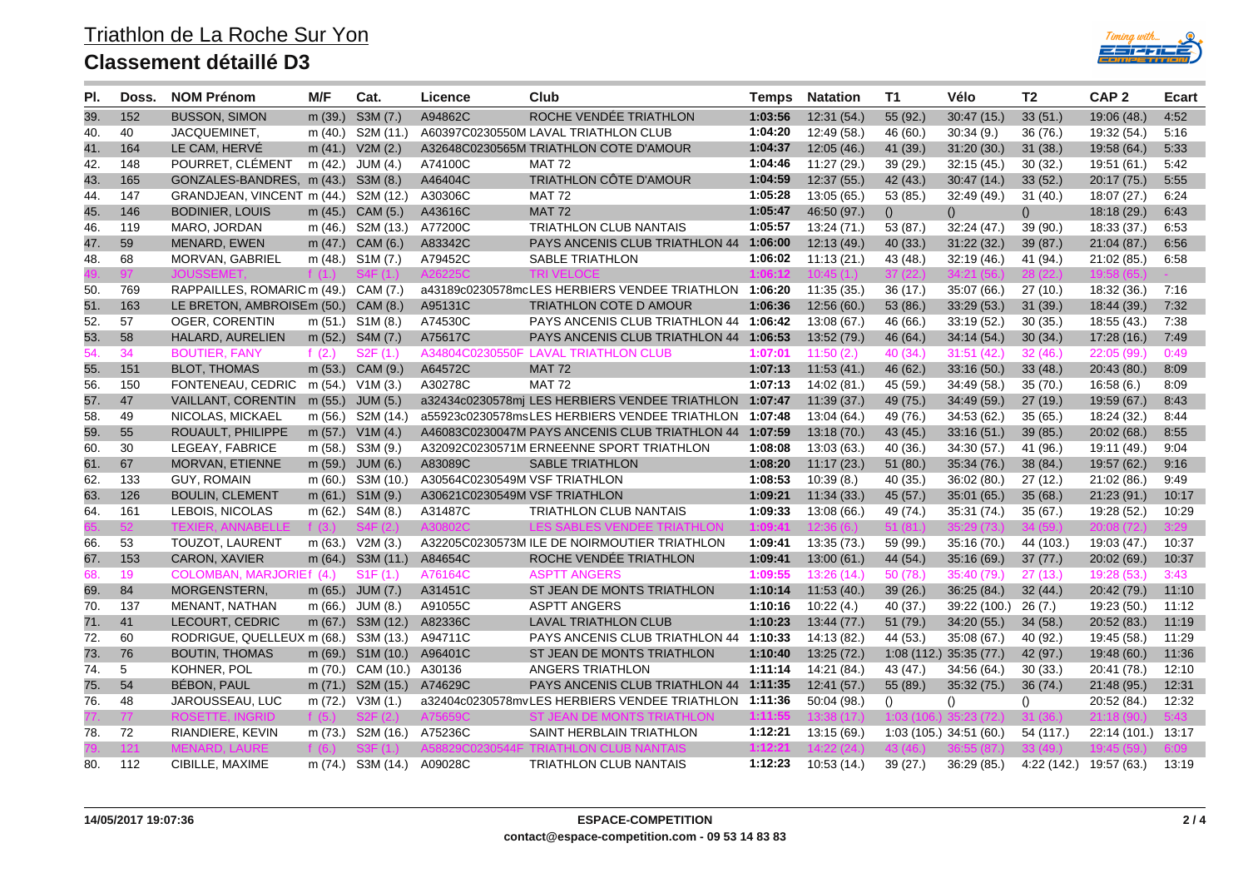## **Classement détaillé D3**



| PI. | Doss. | <b>NOM Prénom</b>                  | M/F       | Cat.                 | Licence                       | Club                                                   | Temps   | <b>Natation</b> | T1                      | Vélo                    | T2               | CAP <sub>2</sub> | <b>Ecart</b> |
|-----|-------|------------------------------------|-----------|----------------------|-------------------------------|--------------------------------------------------------|---------|-----------------|-------------------------|-------------------------|------------------|------------------|--------------|
| 39. | 152   | <b>BUSSON, SIMON</b>               | m (39.)   | S3M(7.)              | A94862C                       | ROCHE VENDEE TRIATHLON                                 | 1:03:56 | 12:31(54)       | 55 (92.)                | 30:47(15.)              | 33(51.)          | 19:06 (48.)      | 4:52         |
| 40. | 40    | JACQUEMINET,                       | m $(40.)$ | S2M (11.)            |                               | A60397C0230550M LAVAL TRIATHLON CLUB                   | 1:04:20 | 12:49 (58.)     | 46 (60.)                | 30:34(9)                | 36 (76.)         | 19:32 (54.)      | 5:16         |
| 41. | 164   | LE CAM, HERVÉ                      |           | m $(41.)$ V2M $(2.)$ |                               | A32648C0230565M TRIATHLON COTE D'AMOUR                 | 1:04:37 | 12:05(46.)      | 41 (39.)                | 31:20(30)               | 31(38.)          | 19:58 (64.)      | 5:33         |
| 42. | 148   | POURRET, CLÉMENT                   | m (42.)   | JUM (4.)             | A74100C                       | <b>MAT 72</b>                                          | 1:04:46 | 11:27(29.)      | 39(29)                  | 32:15(45)               | 30(32.)          | 19:51 (61.)      | 5:42         |
| 43. | 165   | GONZALES-BANDRES, m (43.) S3M (8.) |           |                      | A46404C                       | TRIATHLON CÔTE D'AMOUR                                 | 1:04:59 | 12:37(55.)      | 42 (43.)                | 30:47(14)               | 33(52)           | 20:17 (75.)      | 5:55         |
| 44. | 147   | GRANDJEAN, VINCENT m (44.)         |           | S2M (12.)            | A30306C                       | <b>MAT 72</b>                                          | 1:05:28 | 13:05 (65.)     | 53(85.)                 | 32:49(49)               | 31(40.)          | 18:07 (27.)      | 6:24         |
| 45. | 146   | <b>BODINIER, LOUIS</b>             |           | m (45.) CAM (5.)     | A43616C                       | <b>MAT 72</b>                                          | 1:05:47 | 46:50 (97.)     | ()                      | ()                      | ()               | 18:18(29.)       | 6:43         |
| 46. | 119   | MARO, JORDAN                       | m (46.)   | S2M (13.)            | A77200C                       | <b>TRIATHLON CLUB NANTAIS</b>                          | 1:05:57 | 13:24 (71.)     | 53 (87.)                | 32:24(47.)              | 39(90.)          | 18:33 (37.)      | 6:53         |
| 47. | 59    | MENARD, EWEN                       | m $(47.)$ | CAM (6.)             | A83342C                       | PAYS ANCENIS CLUB TRIATHLON 44                         | 1:06:00 | 12:13(49.)      | 40 (33.)                | 31:22(32)               | 39(87)           | 21:04 (87.)      | 6:56         |
| 48. | 68    | MORVAN, GABRIEL                    | m (48.)   | S1M (7.)             | A79452C                       | SABLE TRIATHLON                                        | 1:06:02 | 11:13(21.)      | 43 (48.)                | 32:19(46.)              | 41 (94.)         | 21:02 (85.)      | 6:58         |
|     | 97    |                                    |           |                      |                               | TRI VEI OCE                                            | 1:06:13 |                 |                         |                         |                  |                  |              |
| 50. | 769   | RAPPAILLES, ROMARIC m (49.)        |           | CAM (7.)             |                               | a43189c0230578mcLES HERBIERS VENDEE TRIATHLON          | 1:06:20 | 11:35 (35.)     | 36(17.)                 | 35:07 (66.)             | 27(10.)          | 18:32 (36.)      | 7:16         |
| 51. | 163   | LE BRETON, AMBROISEm (50.)         |           | CAM (8.)             | A95131C                       | <b>TRIATHLON COTE D AMOUR</b>                          | 1:06:36 | 12:56(60.)      | 53 (86.)                | 33:29(53)               | 31(39)           | 18:44 (39.)      | 7:32         |
| 52. | 57    | <b>OGER, CORENTIN</b>              |           | m $(51.)$ S1M $(8.)$ | A74530C                       | PAYS ANCENIS CLUB TRIATHLON 44 1:06:42                 |         | 13:08 (67.)     | 46 (66.)                | 33:19(52)               | 30(35.)          | 18:55 (43.)      | 7:38         |
| 53. | 58    | HALARD, AURELIEN                   |           | m (52.) S4M (7.)     | A75617C                       | <b>PAYS ANCENIS CLUB TRIATHLON 44 1:06:53</b>          |         | 13:52 (79.)     | 46(64)                  | 34:14(54)               | 30(34.)          | 17:28(16.)       | 7:49         |
| 54. | 34    | <b>BOUTIER, FANY</b>               | f $(2.)$  | S2F(1.)              |                               | A34804C0230550F LAVAL TRIATHLON CLUB                   | 1:07:01 | 11:50(2)        | 40(34)                  | 31:51(42)               | 32(46.)          | 22:05 (99.)      | 0:49         |
| 55. | 151   | <b>BLOT, THOMAS</b>                |           | m (53.) CAM (9.)     | A64572C                       | <b>MAT 72</b>                                          | 1:07:13 | 11:53(41)       | 46(62.)                 | 33:16(50.)              | 33(48.)          | 20:43 (80.)      | 8:09         |
| 56. | 150   | FONTENEAU, CEDRIC m (54.)          |           | V1M(3.)              | A30278C                       | <b>MAT 72</b>                                          | 1:07:13 | 14:02 (81.)     | 45(59)                  | 34:49 (58.)             | 35(70.)          | 16.58(6.)        | 8:09         |
| 57. | 47    | VAILLANT, CORENTIN                 |           | m (55.) JUM (5.)     |                               | a32434c0230578mj LES HERBIERS VENDEE TRIATHLON         | 1:07:47 | 11:39(37.)      | 49 (75.)                | 34:49(59)               | 27(19.)          | 19:59 (67.)      | 8:43         |
| 58. | 49    | NICOLAS, MICKAEL                   | m (56.)   | S2M (14.)            |                               | a55923c0230578msLES HERBIERS VENDEE TRIATHLON          | 1:07:48 | 13:04 (64.)     | 49 (76.)                | 34:53 (62.)             | 35(65.)          | 18:24 (32.)      | 8:44         |
| 59. | 55    | ROUAULT, PHILIPPE                  |           | m $(57.)$ V1M $(4.)$ |                               | A46083C0230047M PAYS ANCENIS CLUB TRIATHLON 44 1:07:59 |         | 13:18(70.)      | 43(45.)                 | 33:16(51)               | 39(85.)          | 20:02(68.)       | 8:55         |
| 60. | 30    | LEGEAY, FABRICE                    | m (58.)   | S3M (9.)             |                               | A32092C0230571M ERNEENNE SPORT TRIATHLON               | 1:08:08 | 13:03 (63.)     | 40(36)                  | 34:30 (57.)             | 41 (96.)         | 19:11 (49.)      | 9:04         |
| 61. | 67    | <b>MORVAN, ETIENNE</b>             | m(59.)    | JUM(6.)              | A83089C                       | <b>SABLE TRIATHLON</b>                                 | 1:08:20 | 11:17(23.)      | 51(80.)                 | 35:34(76)               | 38(84)           | 19:57 (62.)      | 9:16         |
| 62. | 133   | <b>GUY, ROMAIN</b>                 | m (60.)   | S3M (10.)            | A30564C0230549M VSF TRIATHLON |                                                        | 1:08:53 | 10:39(8.)       | 40(35.)                 | 36:02(80.)              | 27(12.)          | 21:02 (86.)      | 9:49         |
| 63. | 126   | <b>BOULIN, CLEMENT</b>             | m $(61.)$ | S1M(9.)              | A30621C0230549M VSF TRIATHLON |                                                        | 1:09:21 | 11:34(33)       | 45(57)                  | 35:01(65)               | 35(68)           | 21:23(91)        | 10:17        |
| 64. | 161   | LEBOIS, NICOLAS                    | m(62.)    | S4M (8.)             | A31487C                       | <b>TRIATHLON CLUB NANTAIS</b>                          | 1:09:33 | 13:08 (66.)     | 49 (74.)                | 35:31 (74.)             | 35(67.)          | 19:28 (52.)      | 10:29        |
|     | 52.   |                                    | f $(3)$   |                      |                               |                                                        | 1:09:41 |                 |                         |                         |                  |                  |              |
| 66. | 53    | <b>TOUZOT, LAURENT</b>             | m (63.)   | V2M(3.)              |                               | A32205C0230573M ILE DE NOIRMOUTIER TRIATHLON           | 1:09:41 | 13:35 (73.)     | 59 (99.)                | 35:16(70.)              | 44 (103.)        | 19:03 (47.)      | 10:37        |
| 67. | 153   | CARON, XAVIER                      | m $(64.)$ | S3M (11.)            | A84654C                       | ROCHE VENDÉE TRIATHLON                                 | 1:09:41 | 13:00(61.)      | 44 (54.)                | 35:16(69)               | 37(77)           | 20:02 (69.)      | 10:37        |
| 68  | 19    | COLOMBAN, MARJORIEf (4.)           |           | S1F(1.)              | A76164C                       | <b>ASPTT ANGERS</b>                                    | 1:09:55 | 13:26(14)       | 50(78)                  | 35:40 (79.)             | 27(13.)          | 19:28 (53.)      | 3:43         |
| 69. | 84    | MORGENSTERN,                       | m(65.)    | JUM (7.)             | A31451C                       | ST JEAN DE MONTS TRIATHLON                             | 1:10:14 | 11:53(40.)      | 39(26.)                 | 36:25(84)               | 32(44)           | 20:42 (79.)      | 11:10        |
| 70. | 137   | MENANT, NATHAN                     | m (66.)   | JUM (8.)             | A91055C                       | <b>ASPTT ANGERS</b>                                    | 1:10:16 | 10:22(4)        | 40 (37.)                | 39:22 (100.) 26 (7.)    |                  | 19:23 (50.)      | 11:12        |
| 71. | 41    | LECOURT, CEDRIC                    |           | m (67.) S3M (12.)    | A82336C                       | <b>LAVAL TRIATHLON CLUB</b>                            | 1:10:23 | 13:44(77.)      | 51(79.)                 | 34:20(55)               | 34(58.)          | 20:52 (83.)      | 11:19        |
| 72. | 60    | RODRIGUE, QUELLEUX m (68.)         |           | S3M (13.)            | A94711C                       | PAYS ANCENIS CLUB TRIATHLON 44 1:10:33                 |         | 14:13 (82.)     | 44 (53.)                | 35:08(67)               | 40 (92.)         | 19:45 (58.)      | 11:29        |
| 73. | 76    | <b>BOUTIN, THOMAS</b>              |           | m (69.) S1M (10.)    | A96401C                       | ST JEAN DE MONTS TRIATHLON                             | 1:10:40 | 13:25(72.)      |                         | 1:08 (112.) 35:35 (77.) | 42 (97.)         | 19:48(60)        | 11:36        |
| 74. | 5     | KOHNER, POL                        | m (70.)   | CAM (10.)            | A30136                        | ANGERS TRIATHLON                                       | 1:11:14 | 14:21 (84.)     | 43 (47.)                | 34:56 (64.)             | 30(33)           | 20:41 (78.)      | 12:10        |
| 75. | 54    | BÉBON, PAUL                        |           | m (71.) S2M (15.)    | A74629C                       | PAYS ANCENIS CLUB TRIATHLON 44                         | 1:11:35 | 12:41(57.)      | 55(89.)                 | 35:32(75)               | 36(74)           | 21:48 (95.)      | 12:31        |
| 76. | 48    | JAROUSSEAU, LUC                    | m (72.)   | V3M(1.)              |                               | a32404c0230578mvLES HERBIERS VENDEE TRIATHLON 1:11:36  |         | 50:04(98.)      | $\Omega$                | $\Omega$                | $\left( \right)$ | 20:52 (84.)      | 12:32        |
|     | 77    | <b>ROSETTE, INGRID</b>             | f $(5.$   |                      |                               | <b>ST JEAN DE MONTS TRIATHLON</b>                      | 1:11:55 | 13:38(17)       | 1:03 (106               | 35:23 (72.)             | 31(36)           | 21:18            | 5:43         |
| 78. | 72    | RIANDIERE, KEVIN                   | m (73.)   | S2M (16.)            | A75236C                       | SAINT HERBLAIN TRIATHLON                               | 1:12:21 | 13:15 (69.)     | 1:03 (105.) 34:51 (60.) |                         | 54 (117.)        | 22:14 (101.)     | 13:17        |
|     | 121   |                                    | f (6      |                      |                               |                                                        | 1:12:21 | 14:22 (24.      | 43 (46                  |                         |                  |                  |              |
| 80. | 112   | CIBILLE, MAXIME                    | m (74.)   | S3M (14.)            | A09028C                       | <b>TRIATHLON CLUB NANTAIS</b>                          | 1:12:23 | 10.53(14)       | 39(27.)                 | 36.29(85)               | 4:22(142.)       | 19:57 (63.)      | 13:19        |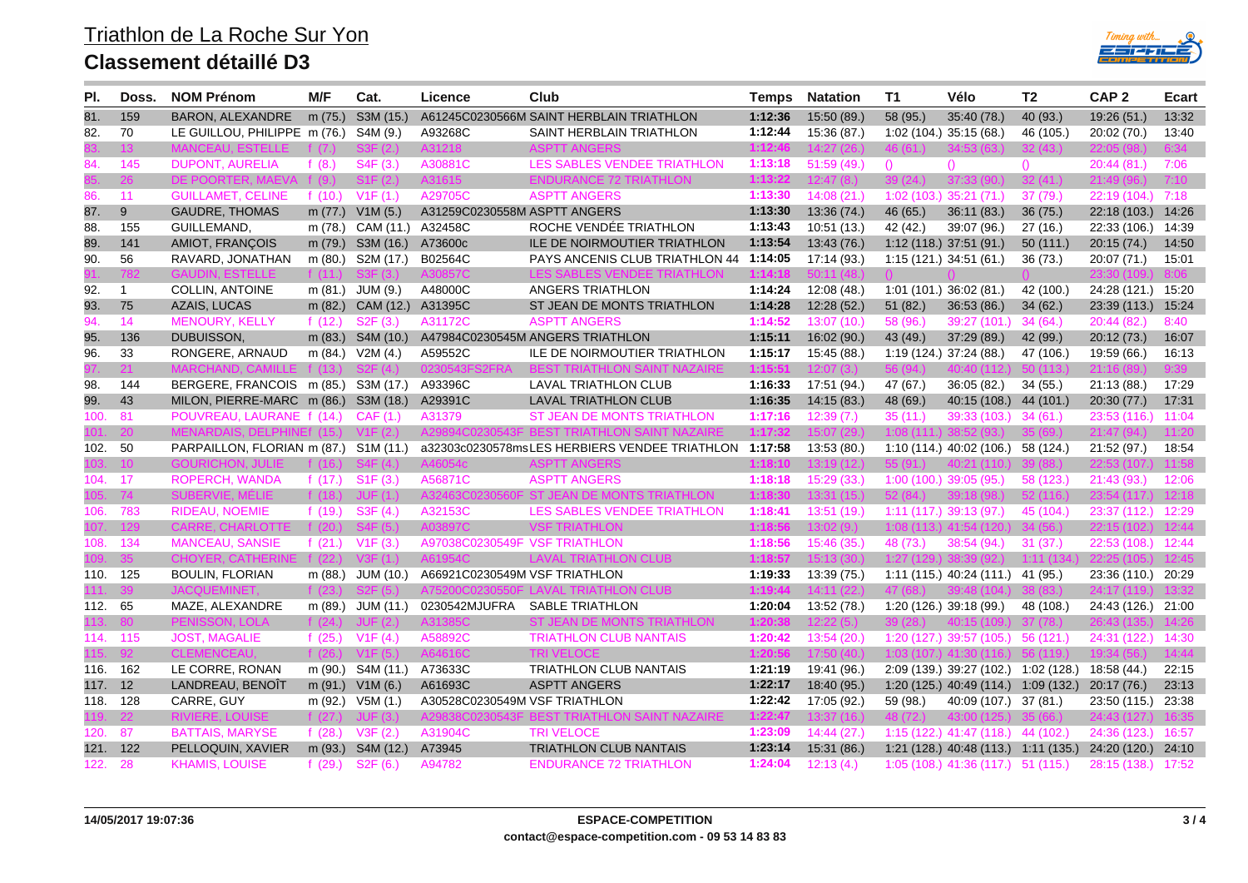## **Classement détaillé D3**



| PI.      | Doss.          | <b>NOM Prénom</b>                    | M/F       | Cat.                  | Licence                       | Club                                          | <b>Temps</b> | <b>Natation</b> | <b>T1</b>        | Vélo                                             | Т2        | CAP <sub>2</sub>   | Ecart |
|----------|----------------|--------------------------------------|-----------|-----------------------|-------------------------------|-----------------------------------------------|--------------|-----------------|------------------|--------------------------------------------------|-----------|--------------------|-------|
| 81.      | 159            | <b>BARON, ALEXANDRE</b>              |           | m (75.) S3M (15.)     |                               | A61245C0230566M SAINT HERBLAIN TRIATHLON      | 1:12:36      | 15:50 (89.)     | 58 (95.)         | 35:40(78.)                                       | 40(93.)   | 19:26 (51.)        | 13:32 |
| 82.      | 70             | LE GUILLOU, PHILIPPE m (76.)         |           | S4M (9.)              | A93268C                       | SAINT HERBLAIN TRIATHLON                      | 1:12:44      | 15:36 (87.)     |                  | 1:02 (104.) 35:15 (68.)                          | 46 (105.) | 20:02 (70.)        | 13:40 |
|          | 13.            | <b>MANCEAU, ESTELLE</b>              |           | S3F(2)                | A31218                        | <b>ASPTT ANGERS</b>                           | 1:12:46      | 14:27 (26.)     | 46(61)           | 34:53 (63.)                                      | 32(43)    | 22:05()            | 6:34  |
| 84.      | 145            | <b>DUPONT, AURELIA</b>               | f $(8.)$  | S4F(3.)               | A30881C                       | LES SABLES VENDEE TRIATHLON                   | 1:13:18      | 51:59 (49.)     | $\left( \right)$ | $\Omega$                                         | $\Omega$  | 20:44 (81.)        | 7:06  |
|          | 26.            | DE POORTER, MAEVA                    | f (9.)    | S1F(2)                | A31615                        | <b>ENDURANCE 72 TRIATHLON</b>                 | 1:13:22      | 12:47(8)        | 39(24)           | 37:33(90.)                                       | 32(41)    | 21:49(96.)         | 7:10  |
| 86.      | 11             | <b>GUILLAMET, CELINE</b>             | f $(10.)$ | V1F(1)                | A29705C                       | <b>ASPTT ANGERS</b>                           | 1:13:30      | 14:08(21)       |                  | 1:02 (103.) 35:21 (71.)                          | 37(79)    | 22:19 (104.)       | 7:18  |
| 87.      | 9              | <b>GAUDRE, THOMAS</b>                | m $(77.)$ | V1M(5.)               | A31259C0230558M ASPTT ANGERS  |                                               | 1:13:30      | 13:36 (74.)     | 46(65)           | 36:11(83)                                        | 36(75.)   | 22:18 (103.) 14:26 |       |
| 88.      | 155            | GUILLEMAND,                          |           | m (78.) CAM (11.)     | A32458C                       | ROCHE VENDEE TRIATHLON                        | 1:13:43      | 10:51(13)       | 42 (42.)         | 39:07 (96.)                                      | 27(16.)   | 22:33 (106.) 14:39 |       |
| 89.      | 141            | AMIOT, FRANÇOIS                      |           | m (79.) S3M (16.)     | A73600c                       | <b>ILE DE NOIRMOUTIER TRIATHLON</b>           | 1:13:54      | 13:43 (76.)     |                  | 1:12(118.) 37:51(91.)                            | 50(111)   | 20:15 (74.)        | 14:50 |
| 90.      | 56             | RAVARD, JONATHAN                     |           | m (80.) S2M (17.)     | B02564C                       | PAYS ANCENIS CLUB TRIATHLON 44 1:14:05        |              | 17:14 (93.)     |                  | 1:15 (121.) 34:51 (61.)                          | 36(73)    | 20:07 (71.)        | 15:01 |
|          |                | GAUDIN, ESTELLE                      | f $(11)$  |                       |                               | <b>I FS SABLES VENDEE TRIATHLON</b>           | 1:14:18      |                 |                  |                                                  |           |                    |       |
| 92.      | $\overline{1}$ | <b>COLLIN, ANTOINE</b>               | m (81.)   | JUM (9.)              | A48000C                       | ANGERS TRIATHLON                              | 1:14:24      | 12:08 (48.)     |                  | $1:01(101.)$ 36:02 (81.)                         | 42 (100.) | 24:28 (121.) 15:20 |       |
| 93.      | 75             | <b>AZAIS, LUCAS</b>                  | m(82.)    | CAM (12.)             | A31395C                       | ST JEAN DE MONTS TRIATHLON                    | 1:14:28      | 12:28(52)       | 51(82)           | 36:53(86.)                                       | 34(62)    | 23:39 (113.)       | 15:24 |
| 94.      | 14             | <b>MENOURY, KELLY</b>                | f $(12.)$ | S2F(3.)               | A31172C                       | <b>ASPTT ANGERS</b>                           | 1:14:52      | 13:07(10.)      | 58 (96.)         | 39:27(101)                                       | 34(64)    | 20:44 (82.)        | 8:40  |
| 95.      | 136            | DUBUISSON,                           |           | m (83.) S4M (10.)     |                               | A47984C0230545M ANGERS TRIATHLON              | 1:15:11      | 16:02(90.)      | 43 (49.)         | 37:29 (89.)                                      | 42 (99.)  | 20:12 (73.)        | 16:07 |
| 96.      | 33             | RONGERE, ARNAUD                      |           | m (84.) V2M (4.)      | A59552C                       | ILE DE NOIRMOUTIER TRIATHLON                  | 1:15:17      | 15:45 (88.)     |                  | 1:19 (124.) 37:24 (88.)                          | 47 (106.) | 19:59 (66.)        | 16:13 |
|          |                |                                      |           |                       |                               |                                               | 1:15:5'      |                 |                  |                                                  |           |                    |       |
| 98.      | 144            | BERGERE, FRANCOIS m (85.) S3M (17.)  |           |                       | A93396C                       | LAVAL TRIATHLON CLUB                          | 1:16:33      | 17:51 (94.)     | 47 (67.)         | 36:05(82)                                        | 34(55.)   | 21:13 (88.)        | 17:29 |
| 99.      | 43             | MILON, PIERRE-MARC m (86.) S3M (18.) |           |                       | A29391C                       | <b>LAVAL TRIATHLON CLUB</b>                   | 1:16:35      | 14:15(83)       | 48 (69.)         | 40:15 (108.) 44 (101.)                           |           | 20:30(77.)         | 17:31 |
| 100.     | -81            | POUVREAU, LAURANE f (14.)            |           | CAF(1.)               | A31379                        | ST JEAN DE MONTS TRIATHLON                    | 1:17:16      | 12:39(7)        | 35(11)           | 39:33 (103.)                                     | 34(61)    | 23:53 (116.)       | 11:04 |
| 101.     | ነበ             | MENARDAIS, DELPHINE (15.)            |           | V1F(2)                |                               | TRIATHLON SAINT I                             | 1:17:32      | 15:07 (29.)     | 1:08(111)        | 38:52(93)                                        | 35 (69.)  | 21:47(94)          | 11:20 |
| 102.     | 50             | PARPAILLON, FLORIAN m (87.)          |           | S1M (11.)             |                               | a32303c0230578msLES HERBIERS VENDEE TRIATHLON | 1:17:58      | 13:53 (80.)     |                  | $1:10(114.)$ 40:02 (106.)                        | 58 (124.) | 21:52 (97.)        | 18:54 |
|          | 10             | <b>GOURICHON, JULIE</b>              | f $(16.)$ | -S4F (4.)             |                               | ASPTT ANGERS                                  | 1:18:10      | 13:19 (12.)     |                  | 40:21 (110.)                                     | 39 (88.)  | 22:53 (107.        | 11:58 |
| 104.     | 17             | <b>ROPERCH, WANDA</b>                | f $(17.)$ | S1F(3)                | A56871C                       | <b>ASPTT ANGERS</b>                           | 1:18:18      | 15:29 (33.)     |                  | $1:00(100.)$ 39:05 (95.)                         | 58 (123.) | 21:43(93)          | 12:06 |
|          | 74             | SUBERVIE, MELIE                      | f $(18.)$ | JUF(1.)               | A32463C0230560F               | ST JEAN DE MONTS TRIATHLON                    | 1:18:30      | 13:31 (15.)     | 52(84)           | 39:18(98)                                        | 52(116)   | 23:54(117)         | 12:18 |
| 106.     | 783            | <b>RIDEAU, NOEMIE</b>                | f $(19.)$ | S3F(4.)               | A32153C                       | <b>LES SABLES VENDEE TRIATHLON</b>            | 1:18:41      | 13:51 (19.)     |                  | $1:11(117.)$ 39:13 (97.)                         | 45 (104.) | 23:37 (112.)       | 12:29 |
|          | 129            | <b>CARRE, CHARLOTTE</b>              | f $(20.)$ | S4F (5.)              | A03897C                       | VSF TRIATHLON                                 | 1:18:56      | 13:02 (9.)      |                  | 1:08 (113.) 41:54 (120.)                         | 34(56)    | 22:15 (102.        | 12:44 |
| 108.     | 134            | <b>MANCEAU, SANSIE</b>               | f $(21.)$ | V1F(3)                | A97038C0230549F VSF TRIATHLON |                                               | 1:18:56      | 15:46(35)       | 48 (73.)         | 38:54(94)                                        | 31(37)    | 22:53 (108.)       | 12:44 |
|          |                | <b>CHOYFI</b>                        |           |                       |                               | LAVAL TRIATHLON CLUB                          | 1:18:57      |                 |                  |                                                  |           |                    |       |
| 110. 125 |                | <b>BOULIN, FLORIAN</b>               |           | m (88.) JUM (10.)     | A66921C0230549M VSF TRIATHLON |                                               | 1:19:33      | 13:39 (75.)     |                  | $1:11(115.)$ 40:24 (111.) 41 (95.)               |           | 23:36 (110.) 20:29 |       |
|          |                |                                      |           |                       |                               | THI ON CLUB.                                  | 1:19:44      |                 |                  |                                                  |           |                    |       |
| 112.     | 65             | MAZE, ALEXANDRE                      |           | m (89.) JUM (11.)     | 0230542MJUFRA                 | <b>SABLE TRIATHLON</b>                        | 1:20:04      | 13:52 (78.)     |                  | 1:20 (126.) 39:18 (99.)                          | 48 (108.) | 24:43 (126.)       | 21:00 |
|          | 8O.            | N. LOLA                              | f $(24)$  | - 12.                 |                               | ST JEAN DE MONTS TRIATHLON                    | 1:20:3       |                 |                  |                                                  |           |                    |       |
| 114. 115 |                | <b>JOST, MAGALIE</b>                 | f $(25.)$ | V1F(4)                | A58892C                       | <b>TRIATHLON CLUB NANTAIS</b>                 | 1:20:42      | 13:54 (20.)     |                  | 1:20 (127.) 39:57 (105.) 56 (121.)               |           | 24:31 (122.)       | 14:30 |
|          | $92-$          | <b>CLEMENCEAU.</b>                   | f (26.)   | V1F(5.)               |                               | <b>TRI VELOCE</b>                             | 1:20:56      | 17:50 (40.)     |                  | $1:03(107)$ 41:30 (116.)                         |           |                    | 14:44 |
| 116. 162 |                | LE CORRE, RONAN                      |           | m (90.) S4M (11.)     | A73633C                       | TRIATHLON CLUB NANTAIS                        | 1:21:19      | 19:41 (96.)     |                  | 2:09 (139.) 39:27 (102.) 1:02 (128.)             |           | 18:58 (44.)        | 22:15 |
| 117. 12  |                | LANDREAU, BENOÎT                     |           | m $(91.)$ V1M $(6.)$  | A61693C                       | <b>ASPTT ANGERS</b>                           | 1:22:17      | 18:40 (95.)     |                  | 1:20 (125.) 40:49 (114.) 1:09 (132.) 20:17 (76.) |           |                    | 23:13 |
| 118. 128 |                | CARRE, GUY                           |           | m (92.) V5M (1.)      | A30528C0230549M VSF TRIATHLON |                                               | 1:22:42      | 17:05 (92.)     | 59 (98.)         | 40.09 (107.) 37 (81.)                            |           | 23:50 (115.)       | 23:38 |
|          | $22^{1}$       | <b>RIVIERE, LOUISE</b>               | f $(27)$  | JUF(3.)               |                               | ' TRIATHLON SAINT NAZAIRE                     | 1:22:47      | 13:37(16)       |                  | 43:00 (125.)                                     |           | 24:43              |       |
| 120.     | 87             | <b>BATTAIS, MARYSE</b>               | f $(28.)$ | V3F(2.)               | A31904C                       | <b>TRI VELOCE</b>                             | 1:23:09      | 14:44(27.)      |                  | 1:15 (122.) 41:47 (118.) 44 (102.)               |           | 24:36 (123.)       | 16:57 |
| 121. 122 |                | PELLOQUIN, XAVIER                    |           | m (93.) S4M (12.)     | A73945                        | TRIATHLON CLUB NANTAIS                        | 1:23:14      | 15:31 (86.)     |                  | $1:21(128.)$ 40:48 (113.) 1:11 (135.)            |           | 24:20 (120.)       | 24:10 |
| 122.     | 28             | <b>KHAMIS, LOUISE</b>                | f $(29.)$ | S <sub>2</sub> F (6.) | A94782                        | <b>ENDURANCE 72 TRIATHLON</b>                 | 1:24:04      | 12:13(4)        |                  | 1:05 (108.) 41:36 (117.) 51 (115.)               |           | 28:15 (138.)       | 17:52 |